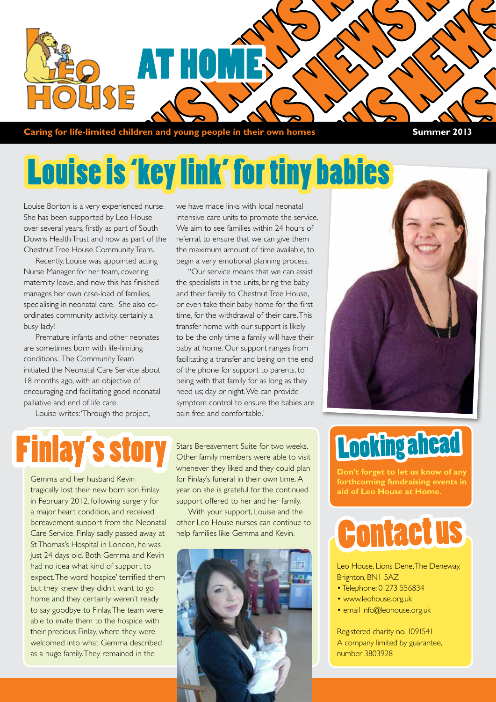

**Caring for life-limited children and young people in their own homes Summer 2013** 

### Louise is 'key link' for tiny babies

Louise Borton is a very experienced nurse. She has been supported by Leo House over several years, firstly as part of South Downs Health Trust and now as part of the Chestnut Tree House Community Team.

Recently, Louise was appointed acting Nurse Manager for her team, covering maternity leave, and now this has finished manages her own case-load of families, specialising in neonatal care. She also coordinates community activity, certainly a busy lady!

Premature infants and other neonates are sometimes born with life-limiting conditions. The Community Team initiated the Neonatal Care Service about 18 months ago, with an objective of encouraging and facilitating good neonatal palliative and end of life care.

Louise writes: 'Through the project,

we have made links with local neonatal intensive care units to promote the service. We aim to see families within 24 hours of referral, to ensure that we can give them the maximum amount of time available, to begin a very emotional planning process.

"Our service means that we can assist the specialists in the units, bring the baby and their family to Chestnut Tree House, or even take their baby home for the first time, for the withdrawal of their care. This transfer home with our support is likely to be the only time a family will have their baby at home. Our support ranges from facilitating a transfer and being on the end of the phone for support to parents, to being with that family for as long as they need us; day or night. We can provide symptom control to ensure the babies are pain free and comfortable.'

### **Finlay's story**

Gemma and her husband Kevin tragically lost their new born son Finlay in February 2012, following surgery for a major heart condition, and received bereavement support from the Neonatal Care Service. Finlay sadly passed away at St Thomas's Hospital in London, he was just 24 days old. Both Gemma and Kevin had no idea what kind of support to expect. The word 'hospice' terrified them but they knew they didn't want to go home and they certainly weren't ready to say goodbye to Finlay. The team were able to invite them to the hospice with their precious Finlay, where they were welcomed into what Gemma described as a huge family. They remained in the

Stars Bereavement Suite for two weeks. Other family members were able to visit whenever they liked and they could plan for Finlay's funeral in their own time. A year on she is grateful for the continued support offered to her and her family.

With your support, Louise and the other Leo House nurses can continue to help families like Gemma and Kevin.



# Looking ahead

**Don't forget to let us know of any forthcoming fundraising events in aid of Leo House at Home.**

### Contact us

Leo House, Lions Dene, The Deneway, Brighton, BN1 5AZ

- Telephone: 01273 556834
- www.leohouse.org.uk
- email info@leohouse.org.uk

Registered charity no. 1091541 A company limited by guarantee, number 3803928